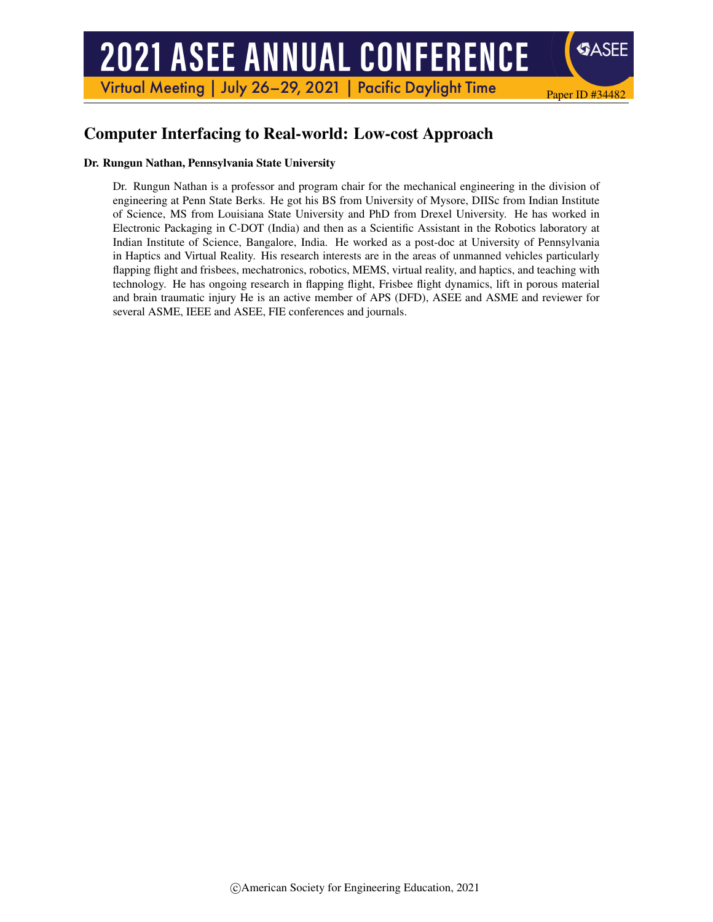# **2021 ASEE ANNUAL CONFERENCE**

Virtual Meeting | July 26-29, 2021 | Pacific Daylight Time

# Computer Interfacing to Real-world: Low-cost Approach

#### Dr. Rungun Nathan, Pennsylvania State University

Dr. Rungun Nathan is a professor and program chair for the mechanical engineering in the division of engineering at Penn State Berks. He got his BS from University of Mysore, DIISc from Indian Institute of Science, MS from Louisiana State University and PhD from Drexel University. He has worked in Electronic Packaging in C-DOT (India) and then as a Scientific Assistant in the Robotics laboratory at Indian Institute of Science, Bangalore, India. He worked as a post-doc at University of Pennsylvania in Haptics and Virtual Reality. His research interests are in the areas of unmanned vehicles particularly flapping flight and frisbees, mechatronics, robotics, MEMS, virtual reality, and haptics, and teaching with technology. He has ongoing research in flapping flight, Frisbee flight dynamics, lift in porous material and brain traumatic injury He is an active member of APS (DFD), ASEE and ASME and reviewer for several ASME, IEEE and ASEE, FIE conferences and journals.

Paper ID #34482

**SASEE**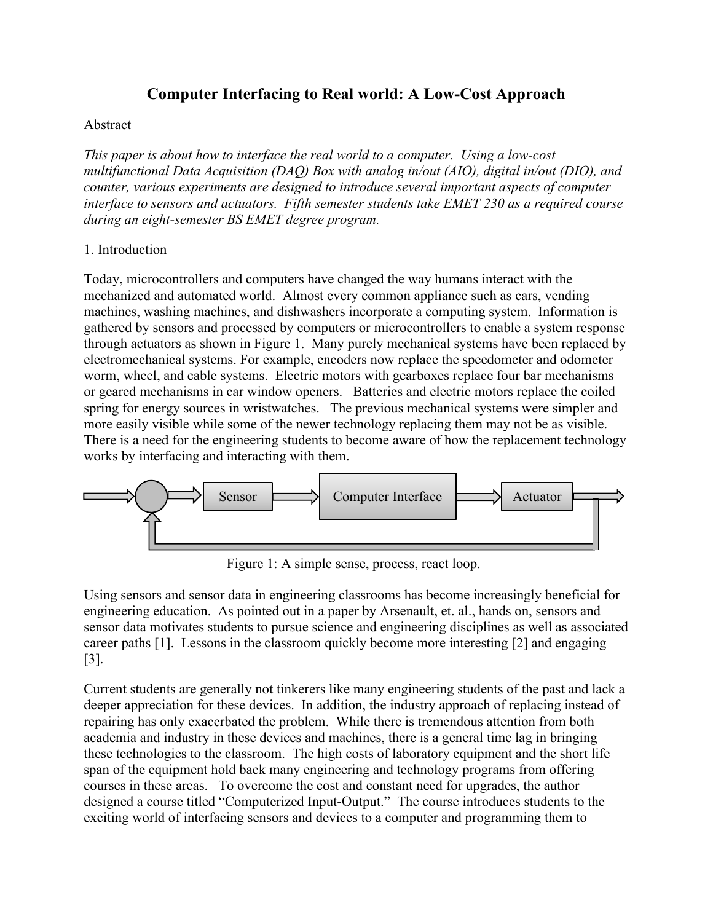## **Computer Interfacing to Real world: A Low-Cost Approach**

#### Abstract

*This paper is about how to interface the real world to a computer. Using a low-cost multifunctional Data Acquisition (DAQ) Box with analog in/out (AIO), digital in/out (DIO), and counter, various experiments are designed to introduce several important aspects of computer interface to sensors and actuators. Fifth semester students take EMET 230 as a required course during an eight-semester BS EMET degree program.*

#### 1. Introduction

Today, microcontrollers and computers have changed the way humans interact with the mechanized and automated world. Almost every common appliance such as cars, vending machines, washing machines, and dishwashers incorporate a computing system. Information is gathered by sensors and processed by computers or microcontrollers to enable a system response through actuators as shown in Figure 1. Many purely mechanical systems have been replaced by electromechanical systems. For example, encoders now replace the speedometer and odometer worm, wheel, and cable systems. Electric motors with gearboxes replace four bar mechanisms or geared mechanisms in car window openers. Batteries and electric motors replace the coiled spring for energy sources in wristwatches. The previous mechanical systems were simpler and more easily visible while some of the newer technology replacing them may not be as visible. There is a need for the engineering students to become aware of how the replacement technology works by interfacing and interacting with them.



Figure 1: A simple sense, process, react loop.

Using sensors and sensor data in engineering classrooms has become increasingly beneficial for engineering education. As pointed out in a paper by Arsenault, et. al., hands on, sensors and sensor data motivates students to pursue science and engineering disciplines as well as associated career paths [1]. Lessons in the classroom quickly become more interesting [2] and engaging [3].

Current students are generally not tinkerers like many engineering students of the past and lack a deeper appreciation for these devices. In addition, the industry approach of replacing instead of repairing has only exacerbated the problem. While there is tremendous attention from both academia and industry in these devices and machines, there is a general time lag in bringing these technologies to the classroom. The high costs of laboratory equipment and the short life span of the equipment hold back many engineering and technology programs from offering courses in these areas. To overcome the cost and constant need for upgrades, the author designed a course titled "Computerized Input-Output." The course introduces students to the exciting world of interfacing sensors and devices to a computer and programming them to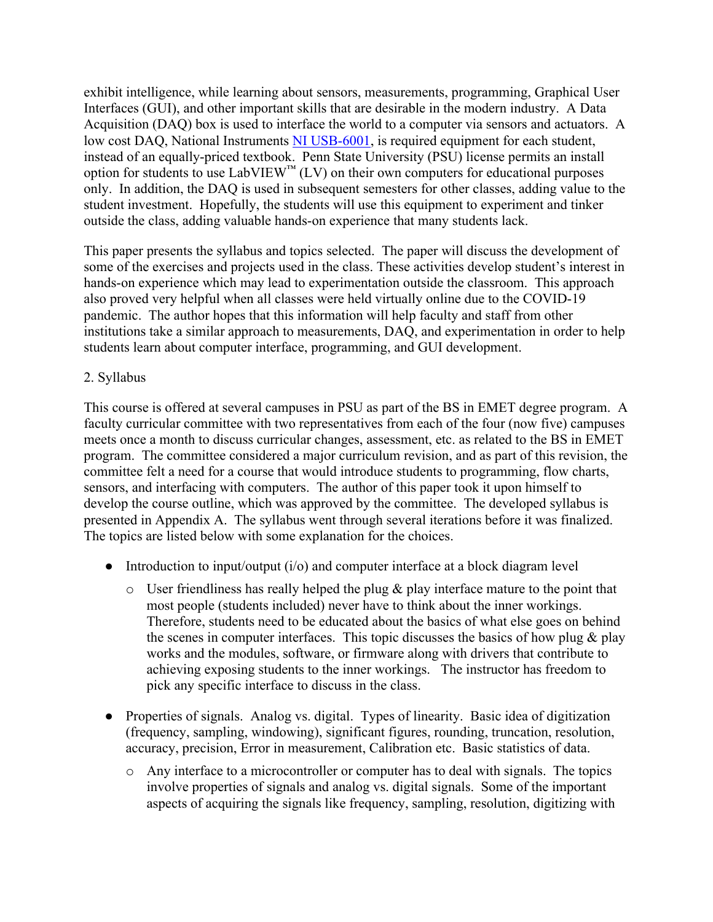exhibit intelligence, while learning about sensors, measurements, programming, Graphical User Interfaces (GUI), and other important skills that are desirable in the modern industry. A Data Acquisition (DAQ) box is used to interface the world to a computer via sensors and actuators. A low cost DAQ, National Instruments [NI USB-6001,](https://www.ni.com/en-us/landing/low-cost-daq.html?cid=Paid_Search-a240Z0000045OsrQAE-Consideration-Google_Low_Cost_DAQ_PartNumbers) is required equipment for each student, instead of an equally-priced textbook. Penn State University (PSU) license permits an install option for students to use  $LabVIEW^M (LV)$  on their own computers for educational purposes only. In addition, the DAQ is used in subsequent semesters for other classes, adding value to the student investment. Hopefully, the students will use this equipment to experiment and tinker outside the class, adding valuable hands-on experience that many students lack.

This paper presents the syllabus and topics selected. The paper will discuss the development of some of the exercises and projects used in the class. These activities develop student's interest in hands-on experience which may lead to experimentation outside the classroom. This approach also proved very helpful when all classes were held virtually online due to the COVID-19 pandemic. The author hopes that this information will help faculty and staff from other institutions take a similar approach to measurements, DAQ, and experimentation in order to help students learn about computer interface, programming, and GUI development.

#### 2. Syllabus

This course is offered at several campuses in PSU as part of the BS in EMET degree program. A faculty curricular committee with two representatives from each of the four (now five) campuses meets once a month to discuss curricular changes, assessment, etc. as related to the BS in EMET program. The committee considered a major curriculum revision, and as part of this revision, the committee felt a need for a course that would introduce students to programming, flow charts, sensors, and interfacing with computers. The author of this paper took it upon himself to develop the course outline, which was approved by the committee. The developed syllabus is presented in Appendix A. The syllabus went through several iterations before it was finalized. The topics are listed below with some explanation for the choices.

- Introduction to input/output  $(i/\sigma)$  and computer interface at a block diagram level
	- $\circ$  User friendliness has really helped the plug & play interface mature to the point that most people (students included) never have to think about the inner workings. Therefore, students need to be educated about the basics of what else goes on behind the scenes in computer interfaces. This topic discusses the basics of how plug  $\&$  play works and the modules, software, or firmware along with drivers that contribute to achieving exposing students to the inner workings. The instructor has freedom to pick any specific interface to discuss in the class.
- Properties of signals. Analog vs. digital. Types of linearity. Basic idea of digitization (frequency, sampling, windowing), significant figures, rounding, truncation, resolution, accuracy, precision, Error in measurement, Calibration etc. Basic statistics of data.
	- o Any interface to a microcontroller or computer has to deal with signals. The topics involve properties of signals and analog vs. digital signals. Some of the important aspects of acquiring the signals like frequency, sampling, resolution, digitizing with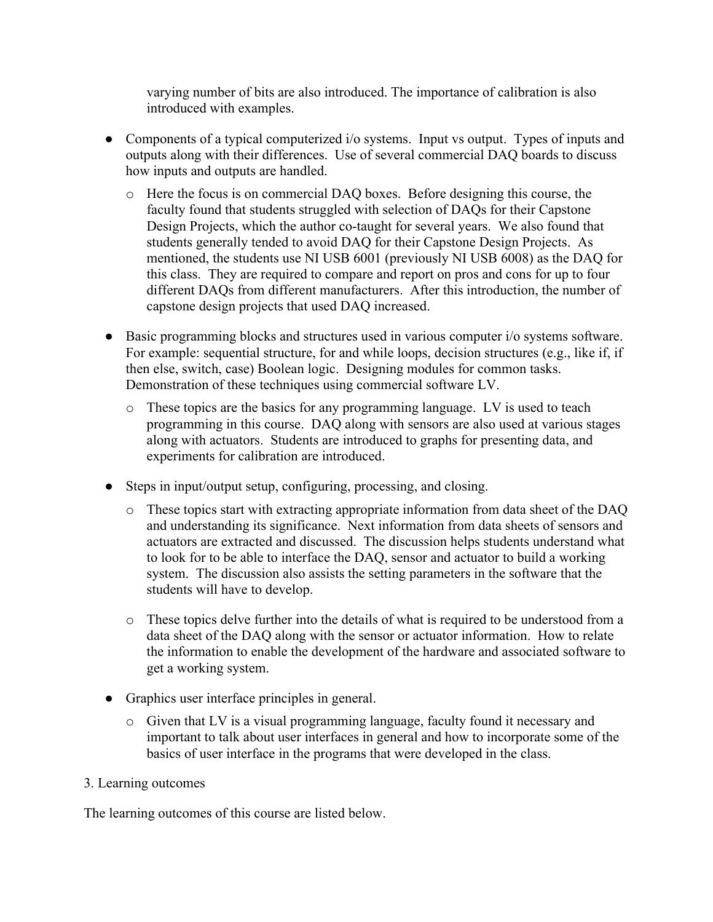varying number of bits are also introduced. The importance of calibration is also introduced with examples.

- Components of a typical computerized i/o systems. Input vs output. Types of inputs and outputs along with their differences. Use of several commercial DAQ boards to discuss how inputs and outputs are handled.
	- o Here the focus is on commercial DAQ boxes. Before designing this course, the faculty found that students struggled with selection of DAQs for their Capstone Design Projects, which the author co-taught for several years. We also found that students generally tended to avoid DAQ for their Capstone Design Projects. As mentioned, the students use NI USB 6001 (previously NI USB 6008) as the DAQ for this class. They are required to compare and report on pros and cons for up to four different DAQs from different manufacturers. After this introduction, the number of capstone design projects that used DAQ increased.
- Basic programming blocks and structures used in various computer i/o systems software. For example: sequential structure, for and while loops, decision structures (e.g., like if, if then else, switch, case) Boolean logic. Designing modules for common tasks. Demonstration of these techniques using commercial software LV.
	- o These topics are the basics for any programming language. LV is used to teach programming in this course. DAQ along with sensors are also used at various stages along with actuators. Students are introduced to graphs for presenting data, and experiments for calibration are introduced.
- Steps in input/output setup, configuring, processing, and closing.
	- o These topics start with extracting appropriate information from data sheet of the DAQ and understanding its significance. Next information from data sheets of sensors and actuators are extracted and discussed. The discussion helps students understand what to look for to be able to interface the DAQ, sensor and actuator to build a working system. The discussion also assists the setting parameters in the software that the students will have to develop.
	- o These topics delve further into the details of what is required to be understood from a data sheet of the DAQ along with the sensor or actuator information. How to relate the information to enable the development of the hardware and associated software to get a working system.
- Graphics user interface principles in general.
	- $\circ$  Given that LV is a visual programming language, faculty found it necessary and important to talk about user interfaces in general and how to incorporate some of the basics of user interface in the programs that were developed in the class.

#### 3. Learning outcomes

The learning outcomes of this course are listed below.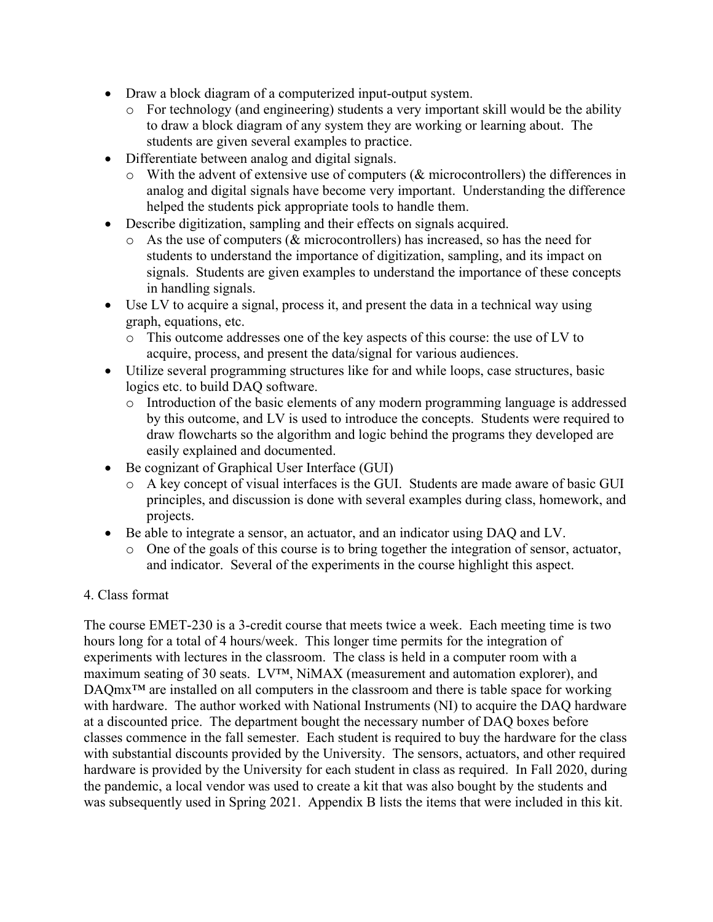- Draw a block diagram of a computerized input-output system.
	- o For technology (and engineering) students a very important skill would be the ability to draw a block diagram of any system they are working or learning about. The students are given several examples to practice.
- Differentiate between analog and digital signals.
	- o With the advent of extensive use of computers (& microcontrollers) the differences in analog and digital signals have become very important. Understanding the difference helped the students pick appropriate tools to handle them.
- Describe digitization, sampling and their effects on signals acquired.
	- o As the use of computers (& microcontrollers) has increased, so has the need for students to understand the importance of digitization, sampling, and its impact on signals. Students are given examples to understand the importance of these concepts in handling signals.
- Use LV to acquire a signal, process it, and present the data in a technical way using graph, equations, etc.
	- $\circ$  This outcome addresses one of the key aspects of this course: the use of LV to acquire, process, and present the data/signal for various audiences.
- Utilize several programming structures like for and while loops, case structures, basic logics etc. to build DAQ software.
	- o Introduction of the basic elements of any modern programming language is addressed by this outcome, and LV is used to introduce the concepts. Students were required to draw flowcharts so the algorithm and logic behind the programs they developed are easily explained and documented.
- Be cognizant of Graphical User Interface (GUI)
	- o A key concept of visual interfaces is the GUI. Students are made aware of basic GUI principles, and discussion is done with several examples during class, homework, and projects.
- Be able to integrate a sensor, an actuator, and an indicator using DAQ and LV.
	- o One of the goals of this course is to bring together the integration of sensor, actuator, and indicator. Several of the experiments in the course highlight this aspect.

#### 4. Class format

The course EMET-230 is a 3-credit course that meets twice a week. Each meeting time is two hours long for a total of 4 hours/week. This longer time permits for the integration of experiments with lectures in the classroom. The class is held in a computer room with a maximum seating of 30 seats. LV™, NiMAX (measurement and automation explorer), and DAQmx<sup>™</sup> are installed on all computers in the classroom and there is table space for working with hardware. The author worked with National Instruments (NI) to acquire the DAQ hardware at a discounted price. The department bought the necessary number of DAQ boxes before classes commence in the fall semester. Each student is required to buy the hardware for the class with substantial discounts provided by the University. The sensors, actuators, and other required hardware is provided by the University for each student in class as required. In Fall 2020, during the pandemic, a local vendor was used to create a kit that was also bought by the students and was subsequently used in Spring 2021. Appendix B lists the items that were included in this kit.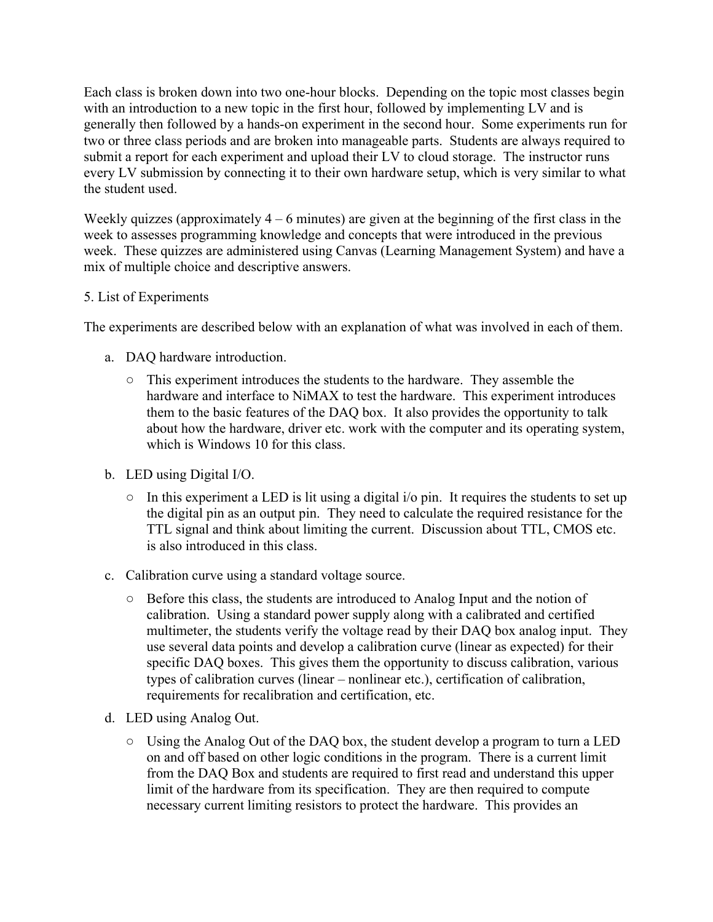Each class is broken down into two one-hour blocks. Depending on the topic most classes begin with an introduction to a new topic in the first hour, followed by implementing LV and is generally then followed by a hands-on experiment in the second hour. Some experiments run for two or three class periods and are broken into manageable parts. Students are always required to submit a report for each experiment and upload their LV to cloud storage. The instructor runs every LV submission by connecting it to their own hardware setup, which is very similar to what the student used.

Weekly quizzes (approximately  $4 - 6$  minutes) are given at the beginning of the first class in the week to assesses programming knowledge and concepts that were introduced in the previous week. These quizzes are administered using Canvas (Learning Management System) and have a mix of multiple choice and descriptive answers.

#### 5. List of Experiments

The experiments are described below with an explanation of what was involved in each of them.

- a. DAQ hardware introduction.
	- This experiment introduces the students to the hardware. They assemble the hardware and interface to NiMAX to test the hardware. This experiment introduces them to the basic features of the DAQ box. It also provides the opportunity to talk about how the hardware, driver etc. work with the computer and its operating system, which is Windows 10 for this class.
- b. LED using Digital I/O.
	- In this experiment a LED is lit using a digital i/o pin. It requires the students to set up the digital pin as an output pin. They need to calculate the required resistance for the TTL signal and think about limiting the current. Discussion about TTL, CMOS etc. is also introduced in this class.
- c. Calibration curve using a standard voltage source.
	- Before this class, the students are introduced to Analog Input and the notion of calibration. Using a standard power supply along with a calibrated and certified multimeter, the students verify the voltage read by their DAQ box analog input. They use several data points and develop a calibration curve (linear as expected) for their specific DAQ boxes. This gives them the opportunity to discuss calibration, various types of calibration curves (linear – nonlinear etc.), certification of calibration, requirements for recalibration and certification, etc.
- d. LED using Analog Out.
	- $\circ$  Using the Analog Out of the DAQ box, the student develop a program to turn a LED on and off based on other logic conditions in the program. There is a current limit from the DAQ Box and students are required to first read and understand this upper limit of the hardware from its specification. They are then required to compute necessary current limiting resistors to protect the hardware. This provides an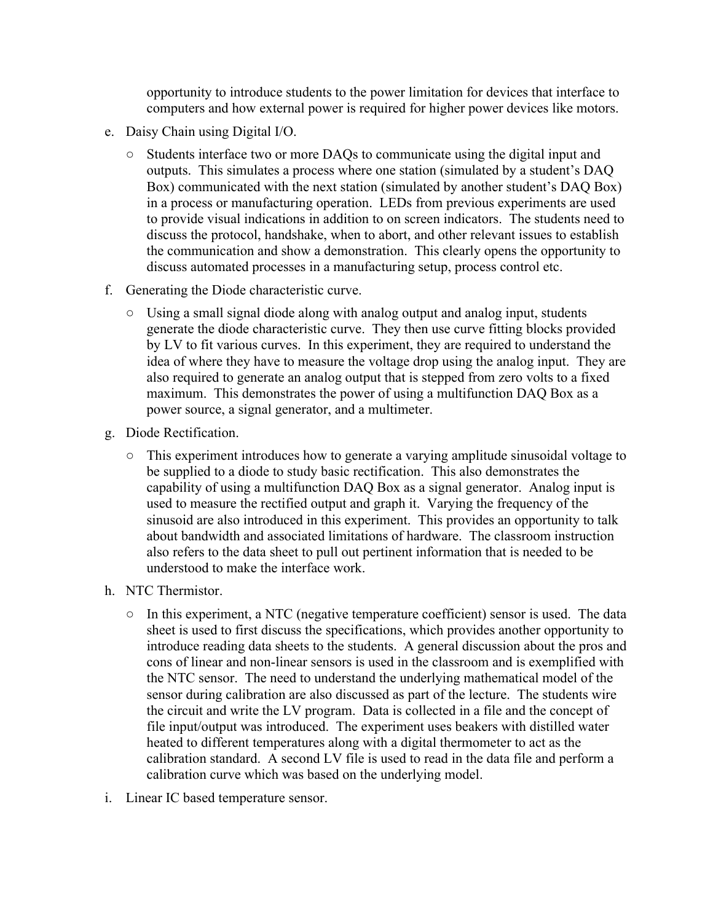opportunity to introduce students to the power limitation for devices that interface to computers and how external power is required for higher power devices like motors.

- e. Daisy Chain using Digital I/O.
	- Students interface two or more DAQs to communicate using the digital input and outputs. This simulates a process where one station (simulated by a student's DAQ Box) communicated with the next station (simulated by another student's DAQ Box) in a process or manufacturing operation. LEDs from previous experiments are used to provide visual indications in addition to on screen indicators. The students need to discuss the protocol, handshake, when to abort, and other relevant issues to establish the communication and show a demonstration. This clearly opens the opportunity to discuss automated processes in a manufacturing setup, process control etc.
- f. Generating the Diode characteristic curve.
	- Using a small signal diode along with analog output and analog input, students generate the diode characteristic curve. They then use curve fitting blocks provided by LV to fit various curves. In this experiment, they are required to understand the idea of where they have to measure the voltage drop using the analog input. They are also required to generate an analog output that is stepped from zero volts to a fixed maximum. This demonstrates the power of using a multifunction DAQ Box as a power source, a signal generator, and a multimeter.
- g. Diode Rectification.
	- This experiment introduces how to generate a varying amplitude sinusoidal voltage to be supplied to a diode to study basic rectification. This also demonstrates the capability of using a multifunction DAQ Box as a signal generator. Analog input is used to measure the rectified output and graph it. Varying the frequency of the sinusoid are also introduced in this experiment. This provides an opportunity to talk about bandwidth and associated limitations of hardware. The classroom instruction also refers to the data sheet to pull out pertinent information that is needed to be understood to make the interface work.
- h. NTC Thermistor.
	- In this experiment, a NTC (negative temperature coefficient) sensor is used. The data sheet is used to first discuss the specifications, which provides another opportunity to introduce reading data sheets to the students. A general discussion about the pros and cons of linear and non-linear sensors is used in the classroom and is exemplified with the NTC sensor. The need to understand the underlying mathematical model of the sensor during calibration are also discussed as part of the lecture. The students wire the circuit and write the LV program. Data is collected in a file and the concept of file input/output was introduced. The experiment uses beakers with distilled water heated to different temperatures along with a digital thermometer to act as the calibration standard. A second LV file is used to read in the data file and perform a calibration curve which was based on the underlying model.
- i. Linear IC based temperature sensor.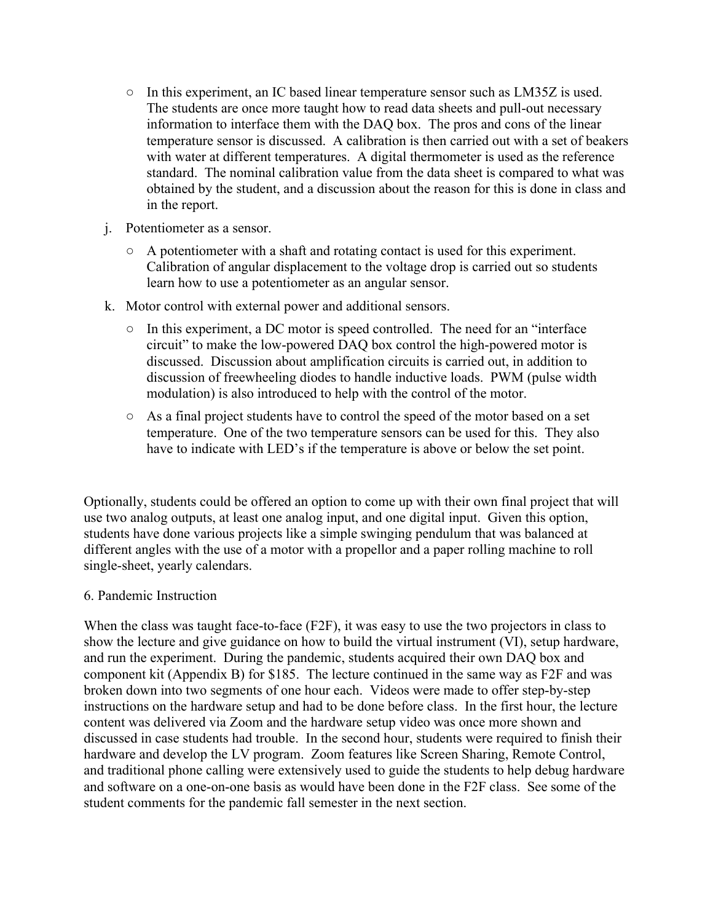- In this experiment, an IC based linear temperature sensor such as LM35Z is used. The students are once more taught how to read data sheets and pull-out necessary information to interface them with the DAQ box. The pros and cons of the linear temperature sensor is discussed. A calibration is then carried out with a set of beakers with water at different temperatures. A digital thermometer is used as the reference standard. The nominal calibration value from the data sheet is compared to what was obtained by the student, and a discussion about the reason for this is done in class and in the report.
- j. Potentiometer as a sensor.
	- A potentiometer with a shaft and rotating contact is used for this experiment. Calibration of angular displacement to the voltage drop is carried out so students learn how to use a potentiometer as an angular sensor.
- k. Motor control with external power and additional sensors.
	- In this experiment, a DC motor is speed controlled. The need for an "interface circuit" to make the low-powered DAQ box control the high-powered motor is discussed. Discussion about amplification circuits is carried out, in addition to discussion of freewheeling diodes to handle inductive loads. PWM (pulse width modulation) is also introduced to help with the control of the motor.
	- As a final project students have to control the speed of the motor based on a set temperature. One of the two temperature sensors can be used for this. They also have to indicate with LED's if the temperature is above or below the set point.

Optionally, students could be offered an option to come up with their own final project that will use two analog outputs, at least one analog input, and one digital input. Given this option, students have done various projects like a simple swinging pendulum that was balanced at different angles with the use of a motor with a propellor and a paper rolling machine to roll single-sheet, yearly calendars.

#### 6. Pandemic Instruction

When the class was taught face-to-face (F2F), it was easy to use the two projectors in class to show the lecture and give guidance on how to build the virtual instrument (VI), setup hardware, and run the experiment. During the pandemic, students acquired their own DAQ box and component kit (Appendix B) for \$185. The lecture continued in the same way as F2F and was broken down into two segments of one hour each. Videos were made to offer step-by-step instructions on the hardware setup and had to be done before class. In the first hour, the lecture content was delivered via Zoom and the hardware setup video was once more shown and discussed in case students had trouble. In the second hour, students were required to finish their hardware and develop the LV program. Zoom features like Screen Sharing, Remote Control, and traditional phone calling were extensively used to guide the students to help debug hardware and software on a one-on-one basis as would have been done in the F2F class. See some of the student comments for the pandemic fall semester in the next section.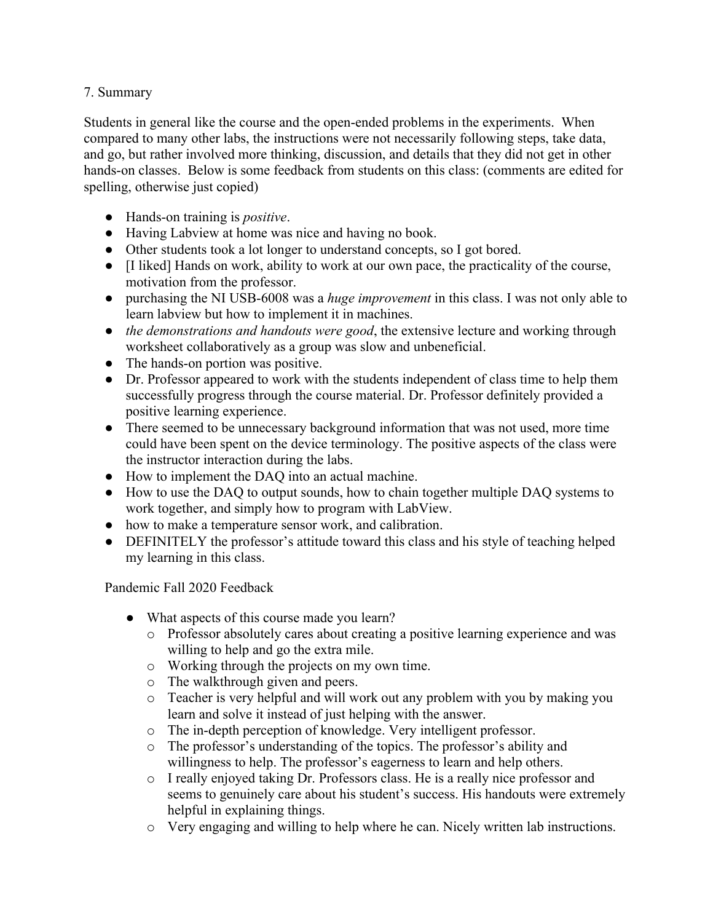#### 7. Summary

Students in general like the course and the open-ended problems in the experiments. When compared to many other labs, the instructions were not necessarily following steps, take data, and go, but rather involved more thinking, discussion, and details that they did not get in other hands-on classes. Below is some feedback from students on this class: (comments are edited for spelling, otherwise just copied)

- Hands-on training is *positive*.
- Having Labview at home was nice and having no book.
- Other students took a lot longer to understand concepts, so I got bored.
- [I liked] Hands on work, ability to work at our own pace, the practicality of the course, motivation from the professor.
- purchasing the NI USB-6008 was a *huge improvement* in this class. I was not only able to learn labview but how to implement it in machines.
- *the demonstrations and handouts were good*, the extensive lecture and working through worksheet collaboratively as a group was slow and unbeneficial.
- The hands-on portion was positive.
- Dr. Professor appeared to work with the students independent of class time to help them successfully progress through the course material. Dr. Professor definitely provided a positive learning experience.
- There seemed to be unnecessary background information that was not used, more time could have been spent on the device terminology. The positive aspects of the class were the instructor interaction during the labs.
- How to implement the DAQ into an actual machine.
- How to use the DAQ to output sounds, how to chain together multiple DAQ systems to work together, and simply how to program with LabView.
- how to make a temperature sensor work, and calibration.
- DEFINITELY the professor's attitude toward this class and his style of teaching helped my learning in this class.

Pandemic Fall 2020 Feedback

- What aspects of this course made you learn?
	- o Professor absolutely cares about creating a positive learning experience and was willing to help and go the extra mile.
	- o Working through the projects on my own time.
	- o The walkthrough given and peers.
	- o Teacher is very helpful and will work out any problem with you by making you learn and solve it instead of just helping with the answer.
	- o The in-depth perception of knowledge. Very intelligent professor.
	- o The professor's understanding of the topics. The professor's ability and willingness to help. The professor's eagerness to learn and help others.
	- o I really enjoyed taking Dr. Professors class. He is a really nice professor and seems to genuinely care about his student's success. His handouts were extremely helpful in explaining things.
	- o Very engaging and willing to help where he can. Nicely written lab instructions.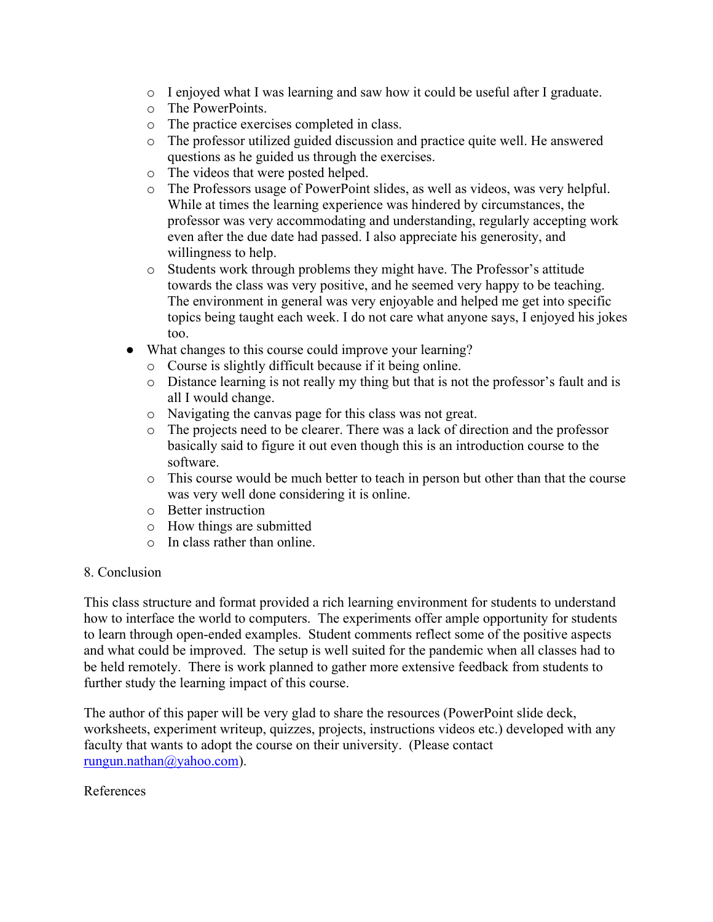- $\circ$  I enjoyed what I was learning and saw how it could be useful after I graduate.
- o The PowerPoints.
- o The practice exercises completed in class.
- o The professor utilized guided discussion and practice quite well. He answered questions as he guided us through the exercises.
- o The videos that were posted helped.
- o The Professors usage of PowerPoint slides, as well as videos, was very helpful. While at times the learning experience was hindered by circumstances, the professor was very accommodating and understanding, regularly accepting work even after the due date had passed. I also appreciate his generosity, and willingness to help.
- o Students work through problems they might have. The Professor's attitude towards the class was very positive, and he seemed very happy to be teaching. The environment in general was very enjoyable and helped me get into specific topics being taught each week. I do not care what anyone says, I enjoyed his jokes too.
- What changes to this course could improve your learning?
	- o Course is slightly difficult because if it being online.
	- o Distance learning is not really my thing but that is not the professor's fault and is all I would change.
	- o Navigating the canvas page for this class was not great.
	- o The projects need to be clearer. There was a lack of direction and the professor basically said to figure it out even though this is an introduction course to the software.
	- o This course would be much better to teach in person but other than that the course was very well done considering it is online.
	- o Better instruction
	- o How things are submitted
	- o In class rather than online.

#### 8. Conclusion

This class structure and format provided a rich learning environment for students to understand how to interface the world to computers. The experiments offer ample opportunity for students to learn through open-ended examples. Student comments reflect some of the positive aspects and what could be improved. The setup is well suited for the pandemic when all classes had to be held remotely. There is work planned to gather more extensive feedback from students to further study the learning impact of this course.

The author of this paper will be very glad to share the resources (PowerPoint slide deck, worksheets, experiment writeup, quizzes, projects, instructions videos etc.) developed with any faculty that wants to adopt the course on their university. (Please contact [rungun.nathan@yahoo.com\)](mailto:rungun.nathan@yahoo.com).

#### References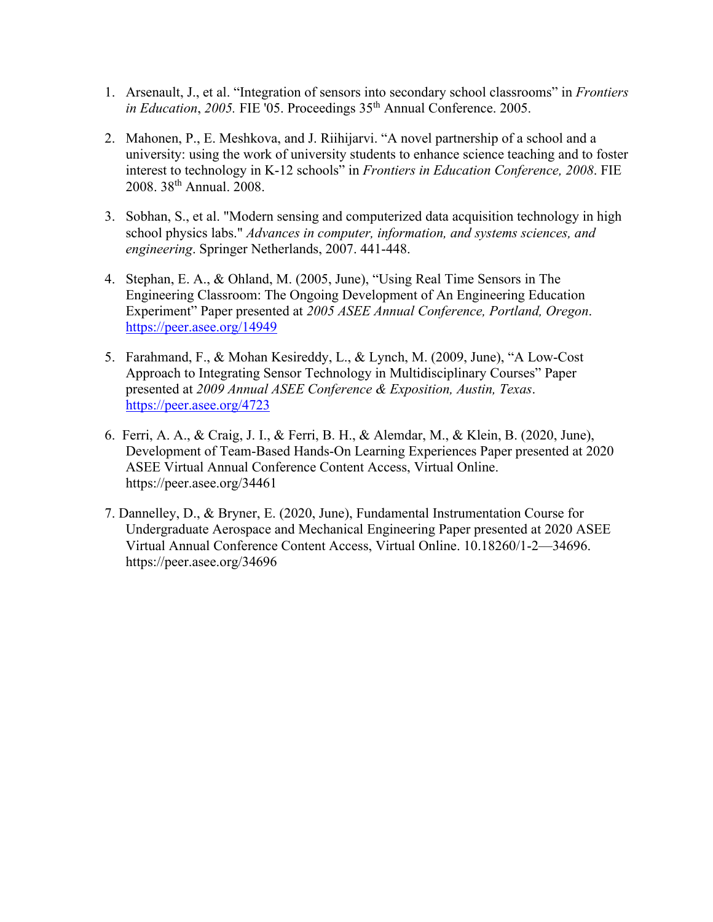- 1. Arsenault, J., et al. "Integration of sensors into secondary school classrooms" in *Frontiers in Education*, *2005*. FIE '05. Proceedings 35<sup>th</sup> Annual Conference. 2005.
- 2. Mahonen, P., E. Meshkova, and J. Riihijarvi. "A novel partnership of a school and a university: using the work of university students to enhance science teaching and to foster interest to technology in K-12 schools" in *Frontiers in Education Conference, 2008*. FIE 2008. 38th Annual. 2008.
- 3. Sobhan, S., et al. "Modern sensing and computerized data acquisition technology in high school physics labs." *Advances in computer, information, and systems sciences, and engineering*. Springer Netherlands, 2007. 441-448.
- 4. Stephan, E. A., & Ohland, M. (2005, June), "Using Real Time Sensors in The Engineering Classroom: The Ongoing Development of An Engineering Education Experiment" Paper presented at *2005 ASEE Annual Conference, Portland, Oregon*. <https://peer.asee.org/14949>
- 5. Farahmand, F., & Mohan Kesireddy, L., & Lynch, M. (2009, June), "A Low-Cost Approach to Integrating Sensor Technology in Multidisciplinary Courses" Paper presented at *2009 Annual ASEE Conference & Exposition, Austin, Texas*. <https://peer.asee.org/4723>
- 6. Ferri, A. A., & Craig, J. I., & Ferri, B. H., & Alemdar, M., & Klein, B. (2020, June), Development of Team-Based Hands-On Learning Experiences Paper presented at 2020 ASEE Virtual Annual Conference Content Access, Virtual Online. https://peer.asee.org/34461
- 7. Dannelley, D., & Bryner, E. (2020, June), Fundamental Instrumentation Course for Undergraduate Aerospace and Mechanical Engineering Paper presented at 2020 ASEE Virtual Annual Conference Content Access, Virtual Online. 10.18260/1-2—34696. https://peer.asee.org/34696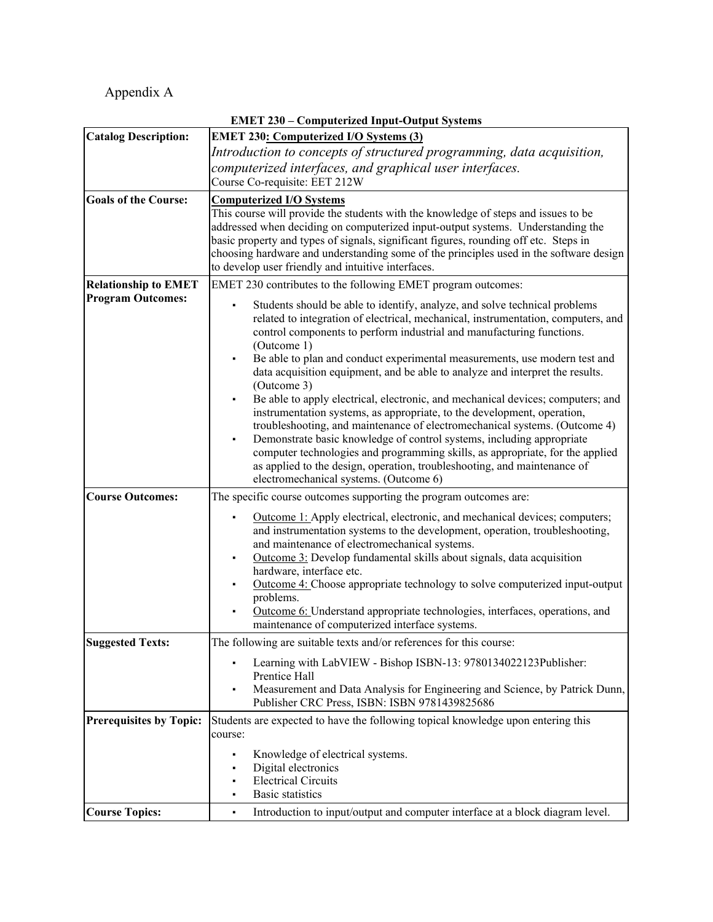Appendix A

| <b>EMET 230 - Computerized Input-Output Systems</b> |                                                                                                                                                        |  |  |  |  |  |
|-----------------------------------------------------|--------------------------------------------------------------------------------------------------------------------------------------------------------|--|--|--|--|--|
| <b>Catalog Description:</b>                         | <b>EMET 230: Computerized I/O Systems (3)</b>                                                                                                          |  |  |  |  |  |
|                                                     | Introduction to concepts of structured programming, data acquisition,                                                                                  |  |  |  |  |  |
|                                                     | computerized interfaces, and graphical user interfaces.                                                                                                |  |  |  |  |  |
|                                                     | Course Co-requisite: EET 212W                                                                                                                          |  |  |  |  |  |
| <b>Goals of the Course:</b>                         | <b>Computerized I/O Systems</b>                                                                                                                        |  |  |  |  |  |
|                                                     | This course will provide the students with the knowledge of steps and issues to be                                                                     |  |  |  |  |  |
|                                                     | addressed when deciding on computerized input-output systems. Understanding the                                                                        |  |  |  |  |  |
|                                                     | basic property and types of signals, significant figures, rounding off etc. Steps in                                                                   |  |  |  |  |  |
|                                                     | choosing hardware and understanding some of the principles used in the software design<br>to develop user friendly and intuitive interfaces.           |  |  |  |  |  |
|                                                     |                                                                                                                                                        |  |  |  |  |  |
| <b>Relationship to EMET</b>                         | EMET 230 contributes to the following EMET program outcomes:                                                                                           |  |  |  |  |  |
| <b>Program Outcomes:</b>                            | Students should be able to identify, analyze, and solve technical problems                                                                             |  |  |  |  |  |
|                                                     | related to integration of electrical, mechanical, instrumentation, computers, and                                                                      |  |  |  |  |  |
|                                                     | control components to perform industrial and manufacturing functions.                                                                                  |  |  |  |  |  |
|                                                     | (Outcome 1)<br>Be able to plan and conduct experimental measurements, use modern test and                                                              |  |  |  |  |  |
|                                                     | data acquisition equipment, and be able to analyze and interpret the results.                                                                          |  |  |  |  |  |
|                                                     | (Outcome 3)                                                                                                                                            |  |  |  |  |  |
|                                                     | Be able to apply electrical, electronic, and mechanical devices; computers; and                                                                        |  |  |  |  |  |
|                                                     | instrumentation systems, as appropriate, to the development, operation,                                                                                |  |  |  |  |  |
|                                                     | troubleshooting, and maintenance of electromechanical systems. (Outcome 4)                                                                             |  |  |  |  |  |
|                                                     | Demonstrate basic knowledge of control systems, including appropriate<br>computer technologies and programming skills, as appropriate, for the applied |  |  |  |  |  |
|                                                     | as applied to the design, operation, troubleshooting, and maintenance of                                                                               |  |  |  |  |  |
|                                                     | electromechanical systems. (Outcome 6)                                                                                                                 |  |  |  |  |  |
| <b>Course Outcomes:</b>                             | The specific course outcomes supporting the program outcomes are:                                                                                      |  |  |  |  |  |
|                                                     | Outcome 1: Apply electrical, electronic, and mechanical devices; computers;                                                                            |  |  |  |  |  |
|                                                     | and instrumentation systems to the development, operation, troubleshooting,                                                                            |  |  |  |  |  |
|                                                     | and maintenance of electromechanical systems.                                                                                                          |  |  |  |  |  |
|                                                     | Outcome 3: Develop fundamental skills about signals, data acquisition                                                                                  |  |  |  |  |  |
|                                                     | hardware, interface etc.                                                                                                                               |  |  |  |  |  |
|                                                     | Outcome 4: Choose appropriate technology to solve computerized input-output                                                                            |  |  |  |  |  |
|                                                     | problems.<br>Outcome 6: Understand appropriate technologies, interfaces, operations, and                                                               |  |  |  |  |  |
|                                                     | maintenance of computerized interface systems.                                                                                                         |  |  |  |  |  |
| <b>Suggested Texts:</b>                             | The following are suitable texts and/or references for this course:                                                                                    |  |  |  |  |  |
|                                                     |                                                                                                                                                        |  |  |  |  |  |
|                                                     | Learning with LabVIEW - Bishop ISBN-13: 9780134022123Publisher:<br>Prentice Hall                                                                       |  |  |  |  |  |
|                                                     | Measurement and Data Analysis for Engineering and Science, by Patrick Dunn,<br>٠                                                                       |  |  |  |  |  |
|                                                     | Publisher CRC Press, ISBN: ISBN 9781439825686                                                                                                          |  |  |  |  |  |
| <b>Prerequisites by Topic:</b>                      | Students are expected to have the following topical knowledge upon entering this                                                                       |  |  |  |  |  |
|                                                     | course:                                                                                                                                                |  |  |  |  |  |
|                                                     | Knowledge of electrical systems.<br>٠                                                                                                                  |  |  |  |  |  |
|                                                     | Digital electronics<br>٠                                                                                                                               |  |  |  |  |  |
|                                                     | <b>Electrical Circuits</b>                                                                                                                             |  |  |  |  |  |
|                                                     | <b>Basic statistics</b>                                                                                                                                |  |  |  |  |  |
| <b>Course Topics:</b>                               | Introduction to input/output and computer interface at a block diagram level.<br>٠                                                                     |  |  |  |  |  |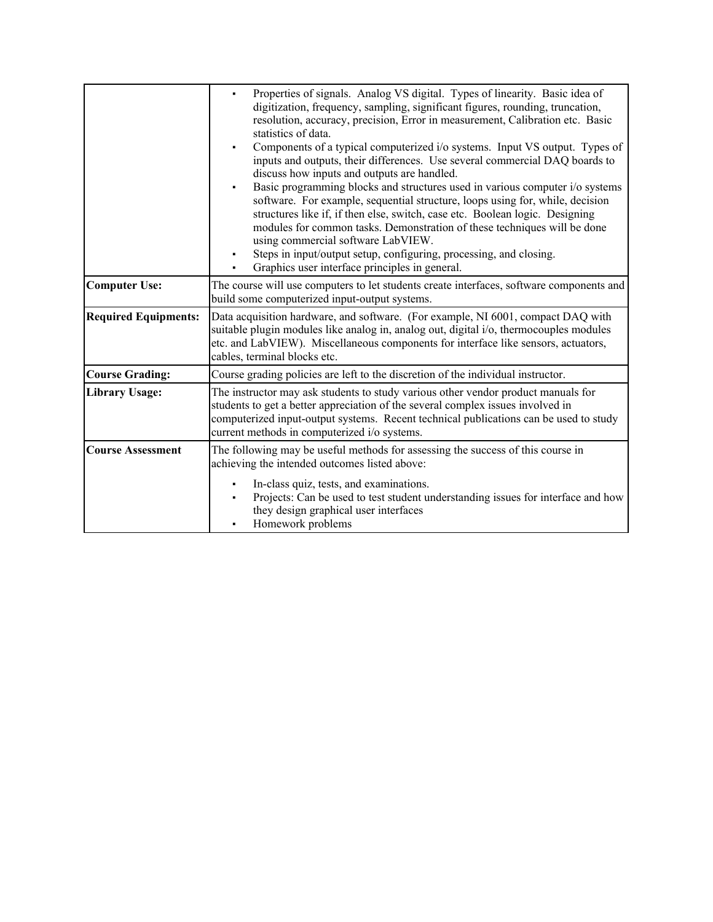|                             | Properties of signals. Analog VS digital. Types of linearity. Basic idea of<br>×,<br>digitization, frequency, sampling, significant figures, rounding, truncation,<br>resolution, accuracy, precision, Error in measurement, Calibration etc. Basic<br>statistics of data.<br>Components of a typical computerized i/o systems. Input VS output. Types of<br>inputs and outputs, their differences. Use several commercial DAQ boards to<br>discuss how inputs and outputs are handled.<br>Basic programming blocks and structures used in various computer i/o systems<br>$\blacksquare$<br>software. For example, sequential structure, loops using for, while, decision<br>structures like if, if then else, switch, case etc. Boolean logic. Designing<br>modules for common tasks. Demonstration of these techniques will be done<br>using commercial software LabVIEW.<br>Steps in input/output setup, configuring, processing, and closing.<br>Graphics user interface principles in general. |  |  |  |
|-----------------------------|------------------------------------------------------------------------------------------------------------------------------------------------------------------------------------------------------------------------------------------------------------------------------------------------------------------------------------------------------------------------------------------------------------------------------------------------------------------------------------------------------------------------------------------------------------------------------------------------------------------------------------------------------------------------------------------------------------------------------------------------------------------------------------------------------------------------------------------------------------------------------------------------------------------------------------------------------------------------------------------------------|--|--|--|
| <b>Computer Use:</b>        | The course will use computers to let students create interfaces, software components and<br>build some computerized input-output systems.                                                                                                                                                                                                                                                                                                                                                                                                                                                                                                                                                                                                                                                                                                                                                                                                                                                            |  |  |  |
| <b>Required Equipments:</b> | Data acquisition hardware, and software. (For example, NI 6001, compact DAQ with<br>suitable plugin modules like analog in, analog out, digital i/o, thermocouples modules<br>etc. and LabVIEW). Miscellaneous components for interface like sensors, actuators,<br>cables, terminal blocks etc.                                                                                                                                                                                                                                                                                                                                                                                                                                                                                                                                                                                                                                                                                                     |  |  |  |
| <b>Course Grading:</b>      | Course grading policies are left to the discretion of the individual instructor.                                                                                                                                                                                                                                                                                                                                                                                                                                                                                                                                                                                                                                                                                                                                                                                                                                                                                                                     |  |  |  |
| <b>Library Usage:</b>       | The instructor may ask students to study various other vendor product manuals for<br>students to get a better appreciation of the several complex issues involved in<br>computerized input-output systems. Recent technical publications can be used to study<br>current methods in computerized i/o systems.                                                                                                                                                                                                                                                                                                                                                                                                                                                                                                                                                                                                                                                                                        |  |  |  |
| <b>Course Assessment</b>    | The following may be useful methods for assessing the success of this course in<br>achieving the intended outcomes listed above:<br>In-class quiz, tests, and examinations.<br>Projects: Can be used to test student understanding issues for interface and how<br>they design graphical user interfaces<br>Homework problems                                                                                                                                                                                                                                                                                                                                                                                                                                                                                                                                                                                                                                                                        |  |  |  |